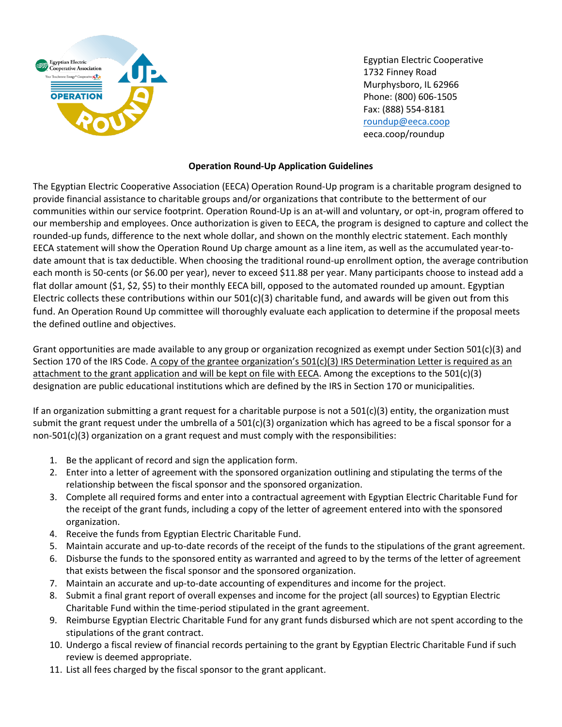

Egyptian Electric Cooperative 1732 Finney Road Murphysboro, IL 62966 Phone: (800) 606-1505 Fax: (888) 554-8181 [roundup@eeca.coop](mailto:roundup@eeca.coop) eeca.coop/roundup

## **Operation Round-Up Application Guidelines**

The Egyptian Electric Cooperative Association (EECA) Operation Round-Up program is a charitable program designed to provide financial assistance to charitable groups and/or organizations that contribute to the betterment of our communities within our service footprint. Operation Round-Up is an at-will and voluntary, or opt-in, program offered to our membership and employees. Once authorization is given to EECA, the program is designed to capture and collect the rounded-up funds, difference to the next whole dollar, and shown on the monthly electric statement. Each monthly EECA statement will show the Operation Round Up charge amount as a line item, as well as the accumulated year-todate amount that is tax deductible. When choosing the traditional round-up enrollment option, the average contribution each month is 50-cents (or \$6.00 per year), never to exceed \$11.88 per year. Many participants choose to instead add a flat dollar amount (\$1, \$2, \$5) to their monthly EECA bill, opposed to the automated rounded up amount. Egyptian Electric collects these contributions within our  $501(c)(3)$  charitable fund, and awards will be given out from this fund. An Operation Round Up committee will thoroughly evaluate each application to determine if the proposal meets the defined outline and objectives.

Grant opportunities are made available to any group or organization recognized as exempt under Section 501(c)(3) and Section 170 of the IRS Code. A copy of the grantee organization's  $501(c)(3)$  IRS Determination Letter is required as an attachment to the grant application and will be kept on file with EECA. Among the exceptions to the 501(c)(3) designation are public educational institutions which are defined by the IRS in Section 170 or municipalities.

If an organization submitting a grant request for a charitable purpose is not a  $501(c)(3)$  entity, the organization must submit the grant request under the umbrella of a  $501(c)(3)$  organization which has agreed to be a fiscal sponsor for a non-501(c)(3) organization on a grant request and must comply with the responsibilities:

- 1. Be the applicant of record and sign the application form.
- 2. Enter into a letter of agreement with the sponsored organization outlining and stipulating the terms of the relationship between the fiscal sponsor and the sponsored organization.
- 3. Complete all required forms and enter into a contractual agreement with Egyptian Electric Charitable Fund for the receipt of the grant funds, including a copy of the letter of agreement entered into with the sponsored organization.
- 4. Receive the funds from Egyptian Electric Charitable Fund.
- 5. Maintain accurate and up-to-date records of the receipt of the funds to the stipulations of the grant agreement.
- 6. Disburse the funds to the sponsored entity as warranted and agreed to by the terms of the letter of agreement that exists between the fiscal sponsor and the sponsored organization.
- 7. Maintain an accurate and up-to-date accounting of expenditures and income for the project.
- 8. Submit a final grant report of overall expenses and income for the project (all sources) to Egyptian Electric Charitable Fund within the time-period stipulated in the grant agreement.
- 9. Reimburse Egyptian Electric Charitable Fund for any grant funds disbursed which are not spent according to the stipulations of the grant contract.
- 10. Undergo a fiscal review of financial records pertaining to the grant by Egyptian Electric Charitable Fund if such review is deemed appropriate.
- 11. List all fees charged by the fiscal sponsor to the grant applicant.